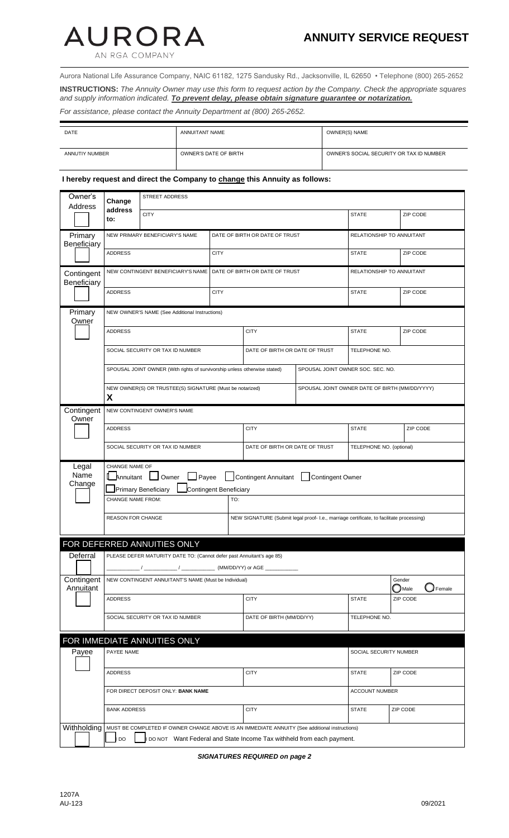

Aurora National Life Assurance Company, NAIC 61182, 1275 Sandusky Rd., Jacksonville, IL 62650 • Telephone (800) 265-2652 **INSTRUCTIONS:** *The Annuity Owner may use this form to request action by the Company. Check the appropriate squares and supply information indicated. To prevent delay, please obtain signature guarantee or notarization. For assistance, please contact the Annuity Department at (800) 265-2652.* 

| DATE           | ANNUITANT NAME        | OWNER(S) NAME                            |
|----------------|-----------------------|------------------------------------------|
| ANNUTIY NUMBER | OWNER'S DATE OF BIRTH | OWNER'S SOCIAL SECURITY OR TAX ID NUMBER |

## **I hereby request and direct the Company to change this Annuity as follows:**

| Owner's<br>Address        | <b>STREET ADDRESS</b><br>Change                                                                                                                                             |                                                                                                      |                   |                                                            |                                                |                           |                                    |  |
|---------------------------|-----------------------------------------------------------------------------------------------------------------------------------------------------------------------------|------------------------------------------------------------------------------------------------------|-------------------|------------------------------------------------------------|------------------------------------------------|---------------------------|------------------------------------|--|
|                           | address<br><b>CITY</b><br>to:                                                                                                                                               |                                                                                                      |                   |                                                            |                                                | <b>STATE</b>              | ZIP CODE                           |  |
| Primary<br>Beneficiary    |                                                                                                                                                                             | NEW PRIMARY BENEFICIARY'S NAME<br>DATE OF BIRTH OR DATE OF TRUST                                     |                   |                                                            |                                                | RELATIONSHIP TO ANNUITANT |                                    |  |
|                           | <b>ADDRESS</b>                                                                                                                                                              |                                                                                                      | <b>CITY</b>       |                                                            |                                                | <b>STATE</b>              | ZIP CODE                           |  |
| Contingent<br>Beneficiary | NEW CONTINGENT BENEFICIARY'S NAME                                                                                                                                           |                                                                                                      |                   | DATE OF BIRTH OR DATE OF TRUST                             |                                                | RELATIONSHIP TO ANNUITANT |                                    |  |
|                           | <b>ADDRESS</b>                                                                                                                                                              |                                                                                                      | <b>CITY</b>       |                                                            | <b>STATE</b>                                   | ZIP CODE                  |                                    |  |
| Primary<br>Owner          | NEW OWNER'S NAME (See Additional Instructions)                                                                                                                              |                                                                                                      |                   |                                                            |                                                |                           |                                    |  |
|                           | <b>ADDRESS</b>                                                                                                                                                              |                                                                                                      |                   | <b>CITY</b>                                                |                                                | <b>STATE</b>              | ZIP CODE                           |  |
|                           | SOCIAL SECURITY OR TAX ID NUMBER<br>DATE OF BIRTH OR DATE OF TRUST                                                                                                          |                                                                                                      |                   |                                                            |                                                | TELEPHONE NO.             |                                    |  |
|                           | SPOUSAL JOINT OWNER (With rights of survivorship unless otherwise stated)                                                                                                   |                                                                                                      |                   | SPOUSAL JOINT OWNER SOC. SEC. NO.                          |                                                |                           |                                    |  |
|                           | NEW OWNER(S) OR TRUSTEE(S) SIGNATURE (Must be notarized)<br>X                                                                                                               |                                                                                                      |                   |                                                            | SPOUSAL JOINT OWNER DATE OF BIRTH (MM/DD/YYYY) |                           |                                    |  |
| Contingent<br>Owner       | NEW CONTINGENT OWNER'S NAME                                                                                                                                                 |                                                                                                      |                   |                                                            |                                                |                           |                                    |  |
|                           | <b>ADDRESS</b>                                                                                                                                                              |                                                                                                      |                   | <b>CITY</b>                                                |                                                | <b>STATE</b>              | ZIP CODE                           |  |
|                           | SOCIAL SECURITY OR TAX ID NUMBER                                                                                                                                            |                                                                                                      |                   | DATE OF BIRTH OR DATE OF TRUST<br>TELEPHONE NO. {optional) |                                                |                           |                                    |  |
| Legal<br>Name<br>Change   | CHANGE NAME OF<br>$\Box$ Payee<br>Owner<br>Contingent Annuitant   Contingent Owner<br>Annuitant<br>Contingent Beneficiary<br><b>Primary Beneficiary</b>                     |                                                                                                      |                   |                                                            |                                                |                           |                                    |  |
|                           |                                                                                                                                                                             | TO:<br><b>CHANGE NAME FROM:</b><br><b>REASON FOR CHANGE</b>                                          |                   |                                                            |                                                |                           |                                    |  |
|                           |                                                                                                                                                                             | NEW SIGNATURE (Submit legal proof- I.e., marriage certificate, to facilitate processing)             |                   |                                                            |                                                |                           |                                    |  |
| Deferral                  |                                                                                                                                                                             | FOR DEFERRED ANNUITIES ONLY<br>PLEASE DEFER MATURITY DATE TO: (Cannot defer past Annuitant's age 85) |                   |                                                            |                                                |                           |                                    |  |
|                           |                                                                                                                                                                             |                                                                                                      | (MM/DD/YY) or AGE |                                                            |                                                |                           |                                    |  |
| Contingent<br>Annuitant   | NEW CONTINGENT ANNUITANT'S NAME (Must be Individual)                                                                                                                        |                                                                                                      |                   |                                                            |                                                |                           | Gender<br>Female<br>$\bigcup$ Male |  |
|                           | ADDRESS                                                                                                                                                                     |                                                                                                      |                   | <b>CITY</b>                                                |                                                | <b>STATE</b>              | ZIP CODE                           |  |
|                           | SOCIAL SECURITY OR TAX ID NUMBER                                                                                                                                            |                                                                                                      |                   | DATE OF BIRTH (MM/DD/YY)                                   |                                                | TELEPHONE NO.             |                                    |  |
|                           |                                                                                                                                                                             | FOR IMMEDIATE ANNUITIES ONLY                                                                         |                   |                                                            |                                                |                           |                                    |  |
| Payee                     | PAYEE NAME                                                                                                                                                                  |                                                                                                      |                   |                                                            |                                                | SOCIAL SECURITY NUMBER    |                                    |  |
|                           | <b>ADDRESS</b>                                                                                                                                                              |                                                                                                      |                   | <b>CITY</b>                                                |                                                | <b>STATE</b>              | ZIP CODE                           |  |
|                           | FOR DIRECT DEPOSIT ONLY: BANK NAME                                                                                                                                          |                                                                                                      |                   |                                                            |                                                | <b>ACCOUNT NUMBER</b>     |                                    |  |
|                           | <b>BANK ADDRESS</b>                                                                                                                                                         |                                                                                                      |                   | <b>CITY</b>                                                |                                                | <b>STATE</b>              | ZIP CODE                           |  |
| Withholding               | MUST BE COMPLETED IF OWNER CHANGE ABOVE IS AN IMMEDIATE ANNUITY {See additional instructions)<br>DO NOT Want Federal and State Income Tax withheld from each payment.<br>DO |                                                                                                      |                   |                                                            |                                                |                           |                                    |  |

*SIGNATURES REQUIRED on page 2*